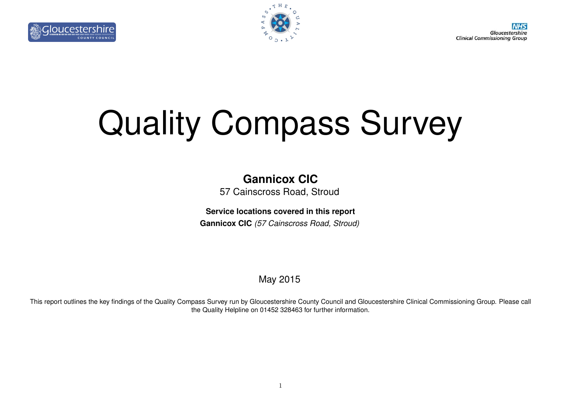Gloucestershire **Clinical Commissioning Group** 





# Quality Compass Survey

# **Gannicox CIC**

57 Cainscross Road, Stroud

**Service locations covered in this report**

**Gannicox CIC** *(57 Cainscross Road, Stroud)*

May 2015

This report outlines the key findings of the Quality Compass Survey run by Gloucestershire County Council and Gloucestershire Clinical Commissioning Group. Please call the Quality Helpline on 01452 328463 for further information.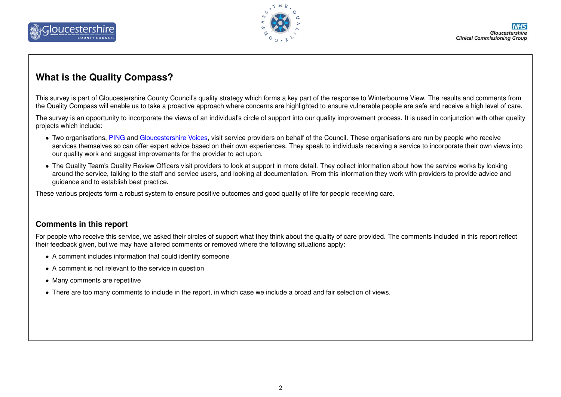



#### **What is the Quality Compass?**

This survey is part of Gloucestershire County Council's quality strategy which forms a key part of the response to Winterbourne View. The results and comments from the Quality Compass will enable us to take a proactive approach where concerns are highlighted to ensure vulnerable people are safe and receive a high level of care.

The survey is an opportunity to incorporate the views of an individual's circle of support into our quality improvement process. It is used in conjunction with other quality projects which include:

- Two organisations, [PING](http://pinglos.org.uk/) and [Gloucestershire Voices,](http://www.glosvoices.co.uk/) visit service providers on behalf of the Council. These organisations are run by people who receive services themselves so can offer expert advice based on their own experiences. They speak to individuals receiving a service to incorporate their own views into our quality work and suggest improvements for the provider to act upon.
- The Quality Team's Quality Review Officers visit providers to look at support in more detail. They collect information about how the service works by looking around the service, talking to the staff and service users, and looking at documentation. From this information they work with providers to provide advice and guidance and to establish best practice.

These various projects form a robust system to ensure positive outcomes and good quality of life for people receiving care.

#### **Comments in this report**

For people who receive this service, we asked their circles of support what they think about the quality of care provided. The comments included in this report reflect their feedback given, but we may have altered comments or removed where the following situations apply:

- A comment includes information that could identify someone
- A comment is not relevant to the service in question
- Many comments are repetitive
- There are too many comments to include in the report, in which case we include a broad and fair selection of views.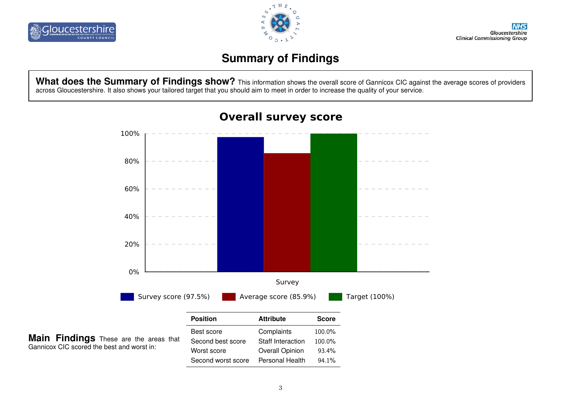



# **Summary of Findings**

What does the Summary of Findings show? This information shows the overall score of Gannicox CIC against the average scores of providers across Gloucestershire. It also shows your tailored target that you should aim to meet in order to increase the quality of your service.



#### **Overall survey score**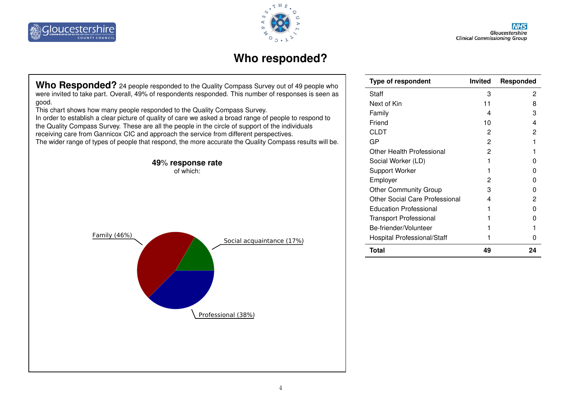



## **Who responded?**

Who Responded? 24 people responded to the Quality Compass Survey out of 49 people who were invited to take part. Overall, 49% of respondents responded. This number of responses is seen as good.

This chart shows how many people responded to the Quality Compass Survey.

In order to establish a clear picture of quality of care we asked a broad range of people to respond to the Quality Compass Survey. These are all the people in the circle of support of the individuals receiving care from Gannicox CIC and approach the service from different perspectives. The wider range of types of people that respond, the more accurate the Quality Compass results will be.



| <b>Type of respondent</b>             | <b>Invited</b> | Responded |
|---------------------------------------|----------------|-----------|
| Staff                                 | 3              | 2         |
| Next of Kin                           | 11             | 8         |
| Family                                | 4              | 3         |
| Friend                                | 10             | 4         |
| CLDT                                  | 2              | 2         |
| GP                                    | 2              |           |
| Other Health Professional             | 2              |           |
| Social Worker (LD)                    |                |           |
| <b>Support Worker</b>                 |                |           |
| Employer                              | 2              |           |
| <b>Other Community Group</b>          | 3              |           |
| <b>Other Social Care Professional</b> | 4              | 2         |
| <b>Education Professional</b>         |                |           |
| <b>Transport Professional</b>         |                |           |
| Be-friender/Volunteer                 |                |           |
| <b>Hospital Professional/Staff</b>    |                |           |
| <b>Total</b>                          | 49             | 24        |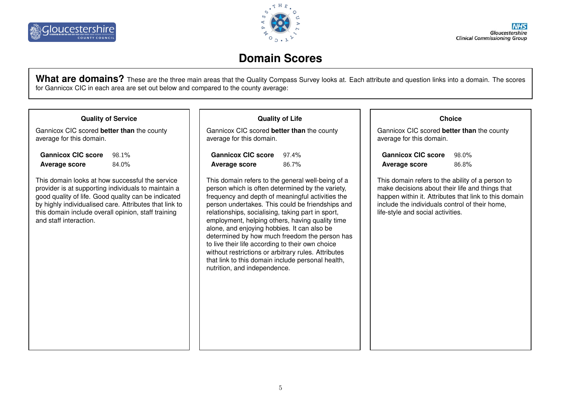

## **Domain Scores**

What are domains? These are the three main areas that the Quality Compass Survey looks at. Each attribute and question links into a domain. The scores for Gannicox CIC in each area are set out below and compared to the county average:

#### **Quality of Service**

Gannicox CIC scored **better than** the county average for this domain.

| <b>Gannicox CIC score</b> | 98.1% |
|---------------------------|-------|
| Average score             | 84.0% |

This domain looks at how successful the service provider is at supporting individuals to maintain a good quality of life. Good quality can be indicated by highly individualised care. Attributes that link to this domain include overall opinion, staff training and staff interaction.

#### **Quality of Life**

Gannicox CIC scored **better than** the county average for this domain.

| <b>Gannicox CIC score</b> | $97.4\%$ |
|---------------------------|----------|
| Average score             | 86.7%    |

This domain refers to the general well-being of a person which is often determined by the variety, frequency and depth of meaningful activities the person undertakes. This could be friendships and relationships, socialising, taking part in sport, employment, helping others, having quality time alone, and enjoying hobbies. It can also be determined by how much freedom the person has to live their life according to their own choice without restrictions or arbitrary rules. Attributes that link to this domain include personal health, nutrition, and independence.

#### **Choice**

Gannicox CIC scored **better than** the county average for this domain.

**Gannicox CIC score** 98.0% Average score 86.8%

This domain refers to the ability of a person to make decisions about their life and things that happen within it. Attributes that link to this domain include the individuals control of their home, life-style and social activities.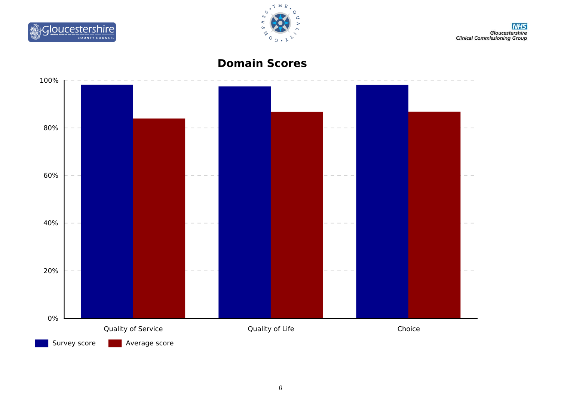



# **Domain Scores**

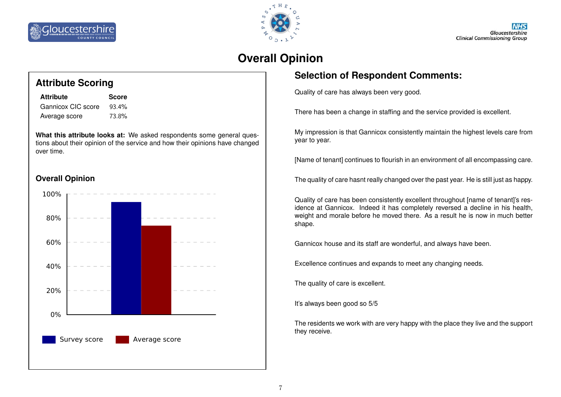



# **Overall Opinion**

#### **Selection of Respondent Comments:**

Quality of care has always been very good.

There has been a change in staffing and the service provided is excellent.

My impression is that Gannicox consistently maintain the highest levels care from year to year.

[Name of tenant] continues to flourish in an environment of all encompassing care.

The quality of care hasnt really changed over the past year. He is still just as happy.

Quality of care has been consistently excellent throughout [name of tenant]'s residence at Gannicox. Indeed it has completely reversed a decline in his health, weight and morale before he moved there. As a result he is now in much better shape.

Gannicox house and its staff are wonderful, and always have been.

Excellence continues and expands to meet any changing needs.

The quality of care is excellent.

It's always been good so 5/5

The residents we work with are very happy with the place they live and the support they receive.

## **Attribute Scoring**

| <b>Attribute</b>   | <b>Score</b> |
|--------------------|--------------|
| Gannicox CIC score | 93.4%        |
| Average score      | 73.8%        |

**What this attribute looks at:** We asked respondents some general questions about their opinion of the service and how their opinions have changed over time.

#### **Overall Opinion**

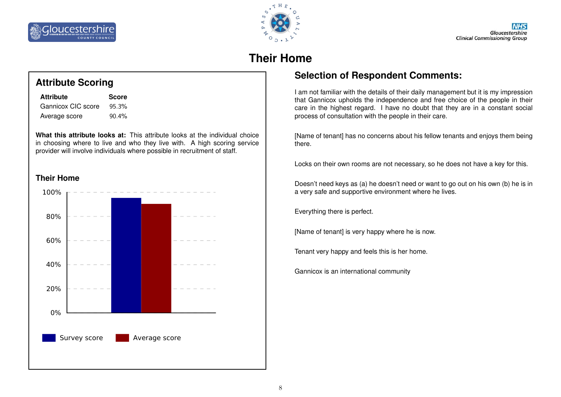



# **Their Home**

## **Attribute Scoring**

| <b>Attribute</b>   | <b>Score</b> |
|--------------------|--------------|
| Gannicox CIC score | 95.3%        |
| Average score      | 90.4%        |

**What this attribute looks at:** This attribute looks at the individual choice in choosing where to live and who they live with. A high scoring service provider will involve individuals where possible in recruitment of staff.





## **Selection of Respondent Comments:**

I am not familiar with the details of their daily management but it is my impression that Gannicox upholds the independence and free choice of the people in their care in the highest regard. I have no doubt that they are in a constant social process of consultation with the people in their care.

[Name of tenant] has no concerns about his fellow tenants and enjoys them being there.

Locks on their own rooms are not necessary, so he does not have a key for this.

Doesn't need keys as (a) he doesn't need or want to go out on his own (b) he is in a very safe and supportive environment where he lives.

Everything there is perfect.

[Name of tenant] is very happy where he is now.

Tenant very happy and feels this is her home.

Gannicox is an international community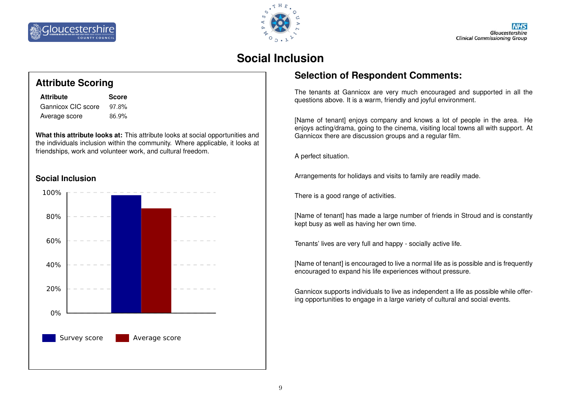



## **Social Inclusion**

## **Attribute Scoring**

| <b>Attribute</b>   | <b>Score</b> |
|--------------------|--------------|
| Gannicox CIC score | 97.8%        |
| Average score      | 86.9%        |

**What this attribute looks at:** This attribute looks at social opportunities and the individuals inclusion within the community. Where applicable, it looks at friendships, work and volunteer work, and cultural freedom.

#### **Social Inclusion**



#### **Selection of Respondent Comments:**

The tenants at Gannicox are very much encouraged and supported in all the questions above. It is a warm, friendly and joyful environment.

[Name of tenant] enjoys company and knows a lot of people in the area. He enjoys acting/drama, going to the cinema, visiting local towns all with support. At Gannicox there are discussion groups and a regular film.

A perfect situation.

Arrangements for holidays and visits to family are readily made.

There is a good range of activities.

[Name of tenant] has made a large number of friends in Stroud and is constantly kept busy as well as having her own time.

Tenants' lives are very full and happy - socially active life.

[Name of tenant] is encouraged to live a normal life as is possible and is frequently encouraged to expand his life experiences without pressure.

Gannicox supports individuals to live as independent a life as possible while offering opportunities to engage in a large variety of cultural and social events.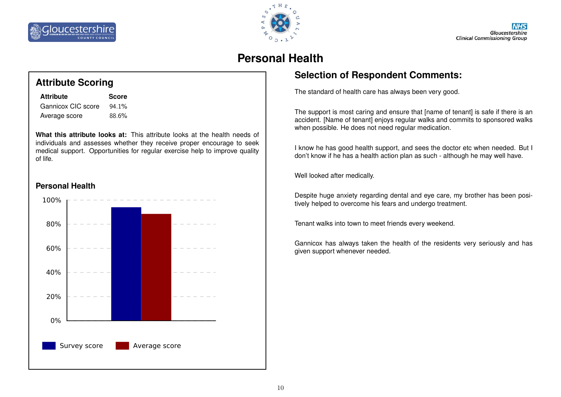



# **Personal Health**

#### **Selection of Respondent Comments:**

The standard of health care has always been very good.

The support is most caring and ensure that [name of tenant] is safe if there is an accident. [Name of tenant] enjoys regular walks and commits to sponsored walks when possible. He does not need regular medication.

I know he has good health support, and sees the doctor etc when needed. But I don't know if he has a health action plan as such - although he may well have.

Well looked after medically.

Despite huge anxiety regarding dental and eye care, my brother has been positively helped to overcome his fears and undergo treatment.

Tenant walks into town to meet friends every weekend.

Gannicox has always taken the health of the residents very seriously and has given support whenever needed.



| <b>Attribute</b>   | <b>Score</b> |
|--------------------|--------------|
| Gannicox CIC score | 94.1%        |
| Average score      | 88.6%        |

**What this attribute looks at:** This attribute looks at the health needs of individuals and assesses whether they receive proper encourage to seek medical support. Opportunities for regular exercise help to improve quality of life.



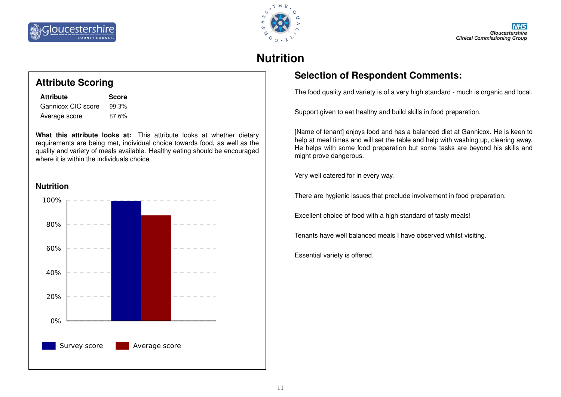



# **Nutrition**

#### **Selection of Respondent Comments:**

The food quality and variety is of a very high standard - much is organic and local.

Support given to eat healthy and build skills in food preparation.

[Name of tenant] enjoys food and has a balanced diet at Gannicox. He is keen to help at meal times and will set the table and help with washing up, clearing away. He helps with some food preparation but some tasks are beyond his skills and might prove dangerous.

Very well catered for in every way.

There are hygienic issues that preclude involvement in food preparation.

Excellent choice of food with a high standard of tasty meals!

Tenants have well balanced meals I have observed whilst visiting.

Essential variety is offered.

## **Attribute Scoring**

| <b>Attribute</b>   | <b>Score</b> |
|--------------------|--------------|
| Gannicox CIC score | 99.3%        |
| Average score      | 87.6%        |

**What this attribute looks at:** This attribute looks at whether dietary requirements are being met, individual choice towards food, as well as the quality and variety of meals available. Healthy eating should be encouraged where it is within the individuals choice.



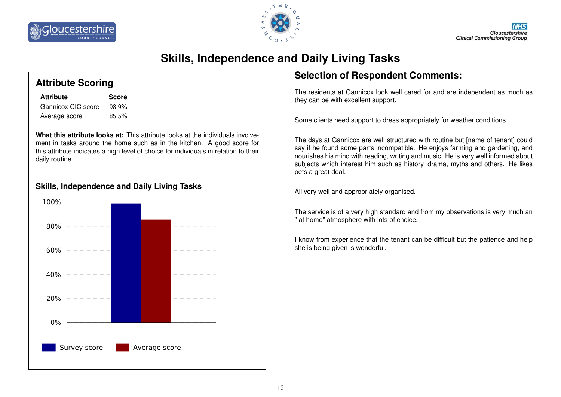



# **Skills, Independence and Daily Living Tasks**

#### **Attribute Scoring**

| <b>Attribute</b>   | <b>Score</b> |
|--------------------|--------------|
| Gannicox CIC score | 98.9%        |
| Average score      | 85.5%        |

**What this attribute looks at:** This attribute looks at the individuals involvement in tasks around the home such as in the kitchen. A good score for this attribute indicates a high level of choice for individuals in relation to their daily routine.

#### **Skills, Independence and Daily Living Tasks**



#### **Selection of Respondent Comments:**

The residents at Gannicox look well cared for and are independent as much as they can be with excellent support.

Some clients need support to dress appropriately for weather conditions.

The days at Gannicox are well structured with routine but [name of tenant] could say if he found some parts incompatible. He enjoys farming and gardening, and nourishes his mind with reading, writing and music. He is very well informed about subjects which interest him such as history, drama, myths and others. He likes pets a great deal.

All very well and appropriately organised.

The service is of a very high standard and from my observations is very much an " at home" atmosphere with lots of choice.

I know from experience that the tenant can be difficult but the patience and help she is being given is wonderful.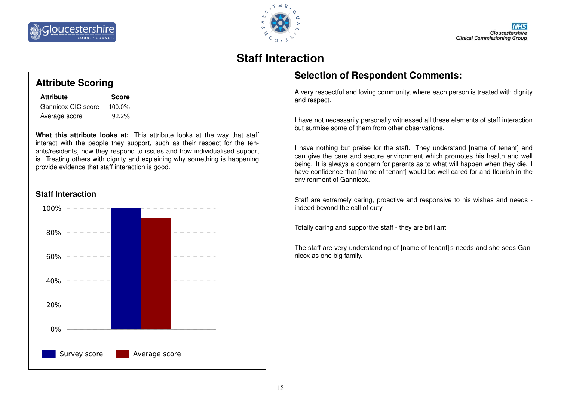

# **Staff Interaction**

## **Attribute Scoring**

| <b>Attribute</b>   | <b>Score</b> |
|--------------------|--------------|
| Gannicox CIC score | 100.0%       |
| Average score      | 92.2%        |

**What this attribute looks at:** This attribute looks at the way that staff interact with the people they support, such as their respect for the tenants/residents, how they respond to issues and how individualised support is. Treating others with dignity and explaining why something is happening provide evidence that staff interaction is good.

#### **Staff Interaction**



## **Selection of Respondent Comments:**

A very respectful and loving community, where each person is treated with dignity and respect.

I have not necessarily personally witnessed all these elements of staff interaction but surmise some of them from other observations.

I have nothing but praise for the staff. They understand [name of tenant] and can give the care and secure environment which promotes his health and well being. It is always a concern for parents as to what will happen when they die. I have confidence that [name of tenant] would be well cared for and flourish in the environment of Gannicox.

Staff are extremely caring, proactive and responsive to his wishes and needs indeed beyond the call of duty

Totally caring and supportive staff - they are brilliant.

The staff are very understanding of [name of tenant]'s needs and she sees Gannicox as one big family.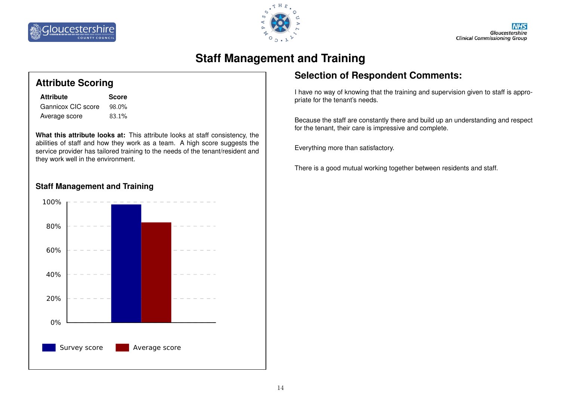



# **Staff Management and Training**

#### **Attribute Scoring**

| <b>Attribute</b>   | <b>Score</b> |
|--------------------|--------------|
| Gannicox CIC score | 98.0%        |
| Average score      | 83.1%        |

**What this attribute looks at:** This attribute looks at staff consistency, the abilities of staff and how they work as a team. A high score suggests the service provider has tailored training to the needs of the tenant/resident and they work well in the environment.

#### **Staff Management and Training**



#### **Selection of Respondent Comments:**

I have no way of knowing that the training and supervision given to staff is appropriate for the tenant's needs.

Because the staff are constantly there and build up an understanding and respect for the tenant, their care is impressive and complete.

Everything more than satisfactory.

There is a good mutual working together between residents and staff.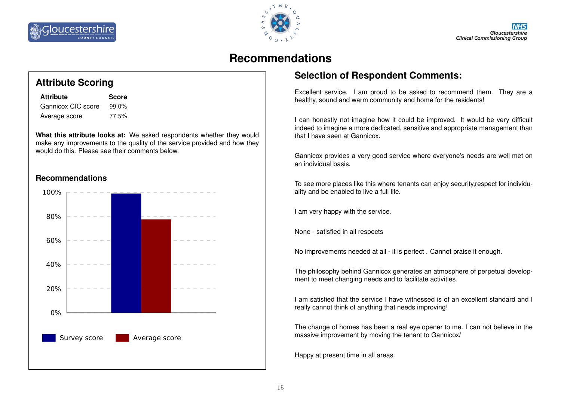



## **Recommendations**

## **Attribute Scoring**

| <b>Attribute</b>   | <b>Score</b> |
|--------------------|--------------|
| Gannicox CIC score | $99.0\%$     |
| Average score      | 77.5%        |

**What this attribute looks at:** We asked respondents whether they would make any improvements to the quality of the service provided and how they would do this. Please see their comments below.

#### **Recommendations**



## **Selection of Respondent Comments:**

Excellent service. I am proud to be asked to recommend them. They are a healthy, sound and warm community and home for the residents!

I can honestly not imagine how it could be improved. It would be very difficult indeed to imagine a more dedicated, sensitive and appropriate management than that I have seen at Gannicox.

Gannicox provides a very good service where everyone's needs are well met on an individual basis.

To see more places like this where tenants can enjoy security,respect for individuality and be enabled to live a full life.

I am very happy with the service.

None - satisfied in all respects

No improvements needed at all - it is perfect . Cannot praise it enough.

The philosophy behind Gannicox generates an atmosphere of perpetual development to meet changing needs and to facilitate activities.

I am satisfied that the service I have witnessed is of an excellent standard and I really cannot think of anything that needs improving!

The change of homes has been a real eye opener to me. I can not believe in the massive improvement by moving the tenant to Gannicox/

Happy at present time in all areas.